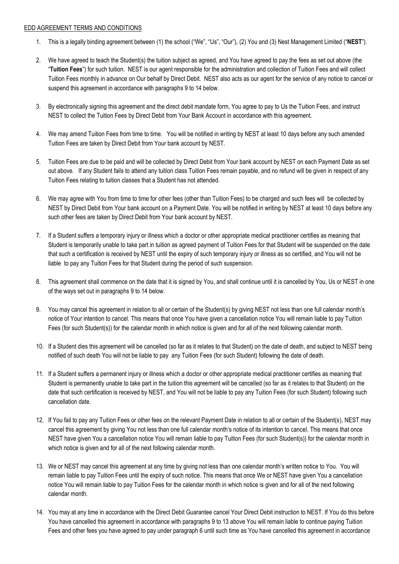## EDD AGREEMENT TERMS AND CONDITIONS

- 1. This is a legally binding agreement between (1) the school ("We", "Us", "Our"), (2) You and (3) Nest Management Limited ("**NEST**").
- 2. We have agreed to teach the Student(s) the tuition subject as agreed, and You have agreed to pay the fees as set out above (the "**Tuition Fees**") for such tuition. NEST is our agent responsible for the administration and collection of Tuition Fees and will collect Tuition Fees monthly in advance on Our behalf by Direct Debit. NEST also acts as our agent for the service of any notice to cancel or suspend this agreement in accordance with paragraphs 9 to 14 below.
- 3. By electronically signing this agreement and the direct debit mandate form, You agree to pay to Us the Tuition Fees, and instruct NEST to collect the Tuition Fees by Direct Debit from Your Bank Account in accordance with this agreement.
- 4. We may amend Tuition Fees from time to time. You will be notified in writing by NEST at least 10 days before any such amended Tuition Fees are taken by Direct Debit from Your bank account by NEST.
- 5. Tuition Fees are due to be paid and will be collected by Direct Debit from Your bank account by NEST on each Payment Date as set out above. If any Student fails to attend any tuition class Tuition Fees remain payable, and no refund will be given in respect of any Tuition Fees relating to tuition classes that a Student has not attended.
- 6. We may agree with You from time to time for other fees (other than Tuition Fees) to be charged and such fees will be collected by NEST by Direct Debit from Your bank account on a Payment Date. You will be notified in writing by NEST at least 10 days before any such other fees are taken by Direct Debit from Your bank account by NEST.
- 7. If a Student suffers a temporary injury or illness which a doctor or other appropriate medical practitioner certifies as meaning that Student is temporarily unable to take part in tuition as agreed payment of Tuition Fees for that Student will be suspended on the date that such a certification is received by NEST until the expiry of such temporary injury or illness as so certified, and You will not be liable to pay any Tuition Fees for that Student during the period of such suspension.
- 8. This agreement shall commence on the date that it is signed by You, and shall continue until it is cancelled by You, Us or NEST in one of the ways set out in paragraphs 9 to 14 below.
- 9. You may cancel this agreement in relation to all or certain of the Student(s) by giving NEST not less than one full calendar month's notice of Your intention to cancel. This means that once You have given a cancellation notice You will remain liable to pay Tuition Fees (for such Student(s)) for the calendar month in which notice is given and for all of the next following calendar month.
- 10. If a Student dies this agreement will be cancelled (so far as it relates to that Student) on the date of death, and subject to NEST being notified of such death You will not be liable to pay any Tuition Fees (for such Student) following the date of death.
- 11. If a Student suffers a permanent injury or illness which a doctor or other appropriate medical practitioner certifies as meaning that Student is permanently unable to take part in the tuition this agreement will be cancelled (so far as it relates to that Student) on the date that such certification is received by NEST, and You will not be liable to pay any Tuition Fees (for such Student) following such cancellation date.
- 12. If You fail to pay any Tuition Fees or other fees on the relevant Payment Date in relation to all or certain of the Student(s), NEST may cancel this agreement by giving You not less than one full calendar month's notice of its intention to cancel. This means that once NEST have given You a cancellation notice You will remain liable to pay Tuition Fees (for such Student(s)) for the calendar month in which notice is given and for all of the next following calendar month.
- 13. We or NEST may cancel this agreement at any time by giving not less than one calendar month's written notice to You. You will remain liable to pay Tuition Fees until the expiry of such notice. This means that once We or NEST have given You a cancellation notice You will remain liable to pay Tuition Fees for the calendar month in which notice is given and for all of the next following calendar month.
- 14. You may at any time in accordance with the Direct Debit Guarantee cancel Your Direct Debit instruction to NEST. If You do this before You have cancelled this agreement in accordance with paragraphs 9 to 13 above You will remain liable to continue paying Tuition Fees and other fees you have agreed to pay under paragraph 6 until such time as You have cancelled this agreement in accordance